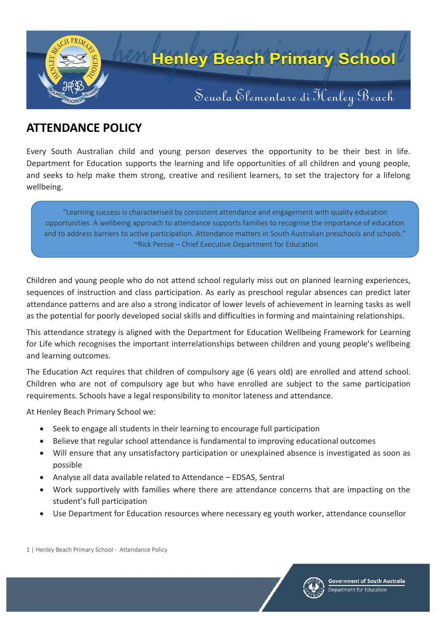

# **ATTENDANCE POLICY**

Every South Australian child and young person deserves the opportunity to be their best in life. Department for Education supports the learning and life opportunities of all children and young people, and seeks to help make them strong, creative and resilient learners, to set the trajectory for a lifelong wellbeing.

"Learning success is characterised by consistent attendance and engagement with quality education opportunities. A wellbeing approach to attendance supports families to recognise the importance of education and to address barriers to active participation. Attendance matters in South Australian preschools and schools." ~Rick Persse – Chief Executive Department for Education

Children and young people who do not attend school regularly miss out on planned learning experiences, sequences of instruction and class participation. As early as preschool regular absences can predict later attendance patterns and are also a strong indicator of lower levels of achievement in learning tasks as well as the potential for poorly developed social skills and difficulties in forming and maintaining relationships.

This attendance strategy is aligned with the Department for Education Wellbeing Framework for Learning for Life which recognises the important interrelationships between children and young people's wellbeing and learning outcomes.

The Education Act requires that children of compulsory age (6 years old) are enrolled and attend school. Children who are not of compulsory age but who have enrolled are subject to the same participation requirements. Schools have a legal responsibility to monitor lateness and attendance.

At Henley Beach Primary School we:

- Seek to engage all students in their learning to encourage full participation
- Believe that regular school attendance is fundamental to improving educational outcomes
- Will ensure that any unsatisfactory participation or unexplained absence is investigated as soon as possible
- Analyse all data available related to Attendance EDSAS, Sentral
- Work supportively with families where there are attendance concerns that are impacting on the student's full participation
- Use Department for Education resources where necessary eg youth worker, attendance counsellor

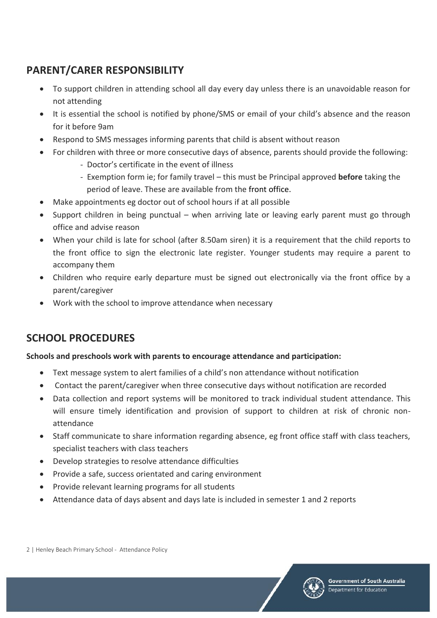## **PARENT/CARER RESPONSIBILITY**

- To support children in attending school all day every day unless there is an unavoidable reason for not attending
- It is essential the school is notified by phone/SMS or email of your child's absence and the reason for it before 9am
- Respond to SMS messages informing parents that child is absent without reason
- For children with three or more consecutive days of absence, parents should provide the following:
	- Doctor's certificate in the event of illness
	- Exemption form ie; for family travel this must be Principal approved **before** taking the period of leave. These are available from the front office.
- Make appointments eg doctor out of school hours if at all possible
- Support children in being punctual when arriving late or leaving early parent must go through office and advise reason
- When your child is late for school (after 8.50am siren) it is a requirement that the child reports to the front office to sign the electronic late register. Younger students may require a parent to accompany them
- Children who require early departure must be signed out electronically via the front office by a parent/caregiver
- Work with the school to improve attendance when necessary

# **SCHOOL PROCEDURES**

### **Schools and preschools work with parents to encourage attendance and participation:**

- Text message system to alert families of a child's non attendance without notification
- Contact the parent/caregiver when three consecutive days without notification are recorded
- Data collection and report systems will be monitored to track individual student attendance. This will ensure timely identification and provision of support to children at risk of chronic nonattendance
- Staff communicate to share information regarding absence, eg front office staff with class teachers, specialist teachers with class teachers
- Develop strategies to resolve attendance difficulties
- Provide a safe, success orientated and caring environment
- Provide relevant learning programs for all students
- Attendance data of days absent and days late is included in semester 1 and 2 reports



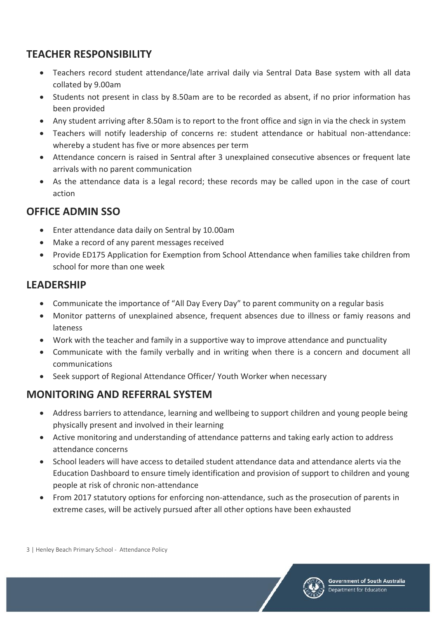## **TEACHER RESPONSIBILITY**

- Teachers record student attendance/late arrival daily via Sentral Data Base system with all data collated by 9.00am
- Students not present in class by 8.50am are to be recorded as absent, if no prior information has been provided
- Any student arriving after 8.50am is to report to the front office and sign in via the check in system
- Teachers will notify leadership of concerns re: student attendance or habitual non-attendance: whereby a student has five or more absences per term
- Attendance concern is raised in Sentral after 3 unexplained consecutive absences or frequent late arrivals with no parent communication
- As the attendance data is a legal record; these records may be called upon in the case of court action

### **OFFICE ADMIN SSO**

- Enter attendance data daily on Sentral by 10.00am
- Make a record of any parent messages received
- Provide ED175 Application for Exemption from School Attendance when families take children from school for more than one week

## **LEADERSHIP**

- Communicate the importance of "All Day Every Day" to parent community on a regular basis
- Monitor patterns of unexplained absence, frequent absences due to illness or famiy reasons and lateness
- Work with the teacher and family in a supportive way to improve attendance and punctuality
- Communicate with the family verbally and in writing when there is a concern and document all communications
- Seek support of Regional Attendance Officer/ Youth Worker when necessary

## **MONITORING AND REFERRAL SYSTEM**

- Address barriers to attendance, learning and wellbeing to support children and young people being physically present and involved in their learning
- Active monitoring and understanding of attendance patterns and taking early action to address attendance concerns
- School leaders will have access to detailed student attendance data and attendance alerts via the Education Dashboard to ensure timely identification and provision of support to children and young people at risk of chronic non-attendance
- From 2017 statutory options for enforcing non-attendance, such as the prosecution of parents in extreme cases, will be actively pursued after all other options have been exhausted